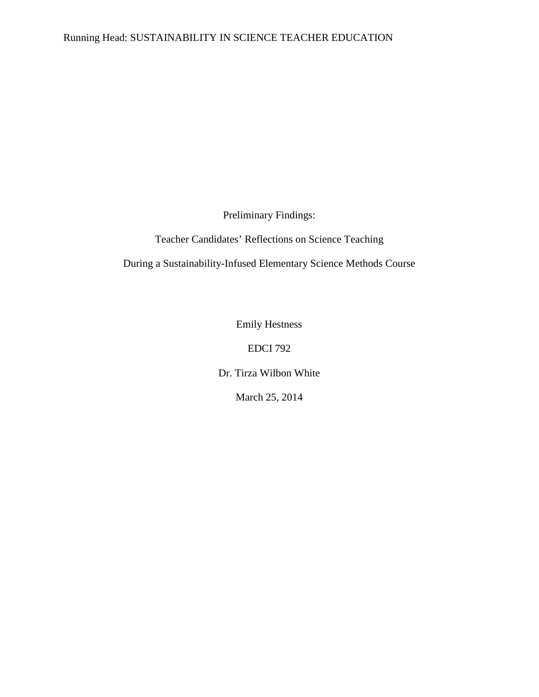## Running Head: SUSTAINABILITY IN SCIENCE TEACHER EDUCATION

Preliminary Findings:

Teacher Candidates' Reflections on Science Teaching

During a Sustainability-Infused Elementary Science Methods Course

Emily Hestness

EDCI 792

Dr. Tirza Wilbon White

March 25, 2014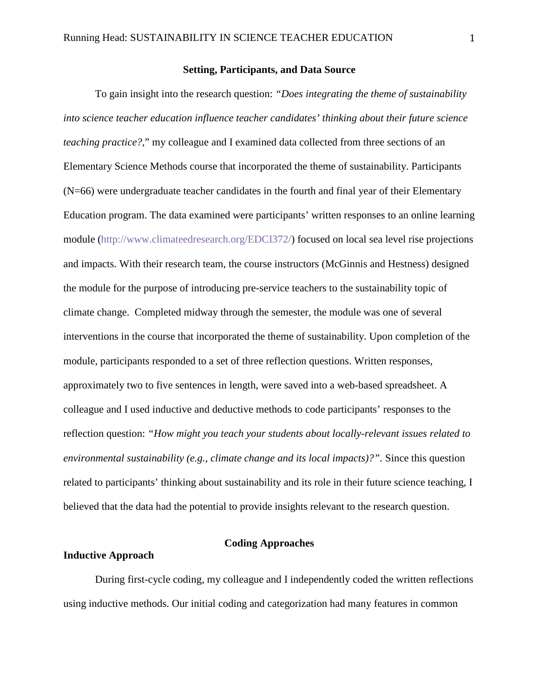#### **Setting, Participants, and Data Source**

To gain insight into the research question: *"Does integrating the theme of sustainability into science teacher education influence teacher candidates' thinking about their future science teaching practice?*," my colleague and I examined data collected from three sections of an Elementary Science Methods course that incorporated the theme of sustainability. Participants (N=66) were undergraduate teacher candidates in the fourth and final year of their Elementary Education program. The data examined were participants' written responses to an online learning module [\(http://www.climateedresearch.org/EDCI372/\)](http://www.climateedresearch.org/EDCI372/) focused on local sea level rise projections and impacts. With their research team, the course instructors (McGinnis and Hestness) designed the module for the purpose of introducing pre-service teachers to the sustainability topic of climate change. Completed midway through the semester, the module was one of several interventions in the course that incorporated the theme of sustainability. Upon completion of the module, participants responded to a set of three reflection questions. Written responses, approximately two to five sentences in length, were saved into a web-based spreadsheet. A colleague and I used inductive and deductive methods to code participants' responses to the reflection question: *"How might you teach your students about locally-relevant issues related to environmental sustainability (e.g., climate change and its local impacts)?".* Since this question related to participants' thinking about sustainability and its role in their future science teaching, I believed that the data had the potential to provide insights relevant to the research question.

## **Coding Approaches**

## **Inductive Approach**

During first-cycle coding, my colleague and I independently coded the written reflections using inductive methods. Our initial coding and categorization had many features in common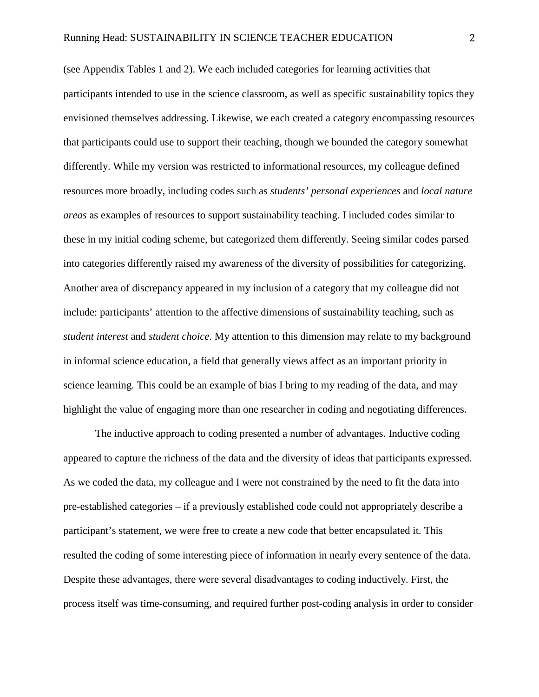(see Appendix Tables 1 and 2). We each included categories for learning activities that participants intended to use in the science classroom, as well as specific sustainability topics they envisioned themselves addressing. Likewise, we each created a category encompassing resources that participants could use to support their teaching, though we bounded the category somewhat differently. While my version was restricted to informational resources, my colleague defined resources more broadly, including codes such as *students' personal experiences* and *local nature areas* as examples of resources to support sustainability teaching. I included codes similar to these in my initial coding scheme, but categorized them differently. Seeing similar codes parsed into categories differently raised my awareness of the diversity of possibilities for categorizing. Another area of discrepancy appeared in my inclusion of a category that my colleague did not include: participants' attention to the affective dimensions of sustainability teaching, such as *student interest* and *student choice*. My attention to this dimension may relate to my background in informal science education, a field that generally views affect as an important priority in science learning. This could be an example of bias I bring to my reading of the data, and may highlight the value of engaging more than one researcher in coding and negotiating differences.

The inductive approach to coding presented a number of advantages. Inductive coding appeared to capture the richness of the data and the diversity of ideas that participants expressed. As we coded the data, my colleague and I were not constrained by the need to fit the data into pre-established categories – if a previously established code could not appropriately describe a participant's statement, we were free to create a new code that better encapsulated it. This resulted the coding of some interesting piece of information in nearly every sentence of the data. Despite these advantages, there were several disadvantages to coding inductively. First, the process itself was time-consuming, and required further post-coding analysis in order to consider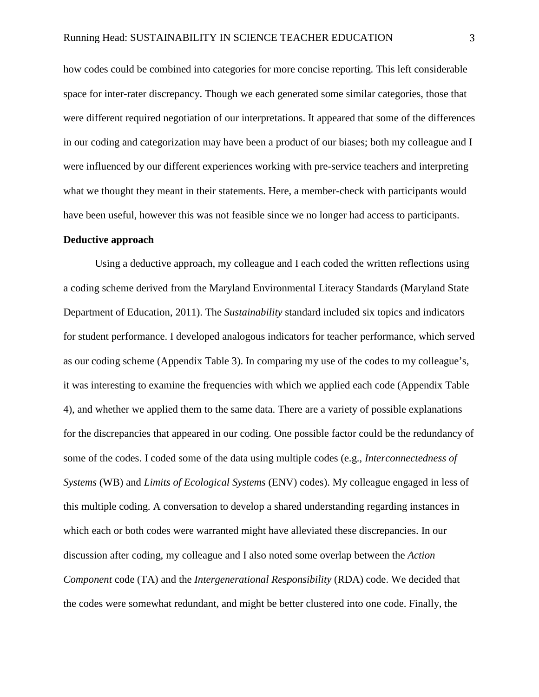how codes could be combined into categories for more concise reporting. This left considerable space for inter-rater discrepancy. Though we each generated some similar categories, those that were different required negotiation of our interpretations. It appeared that some of the differences in our coding and categorization may have been a product of our biases; both my colleague and I were influenced by our different experiences working with pre-service teachers and interpreting what we thought they meant in their statements. Here, a member-check with participants would have been useful, however this was not feasible since we no longer had access to participants.

#### **Deductive approach**

Using a deductive approach, my colleague and I each coded the written reflections using a coding scheme derived from the Maryland Environmental Literacy Standards (Maryland State Department of Education, 2011). The *Sustainability* standard included six topics and indicators for student performance. I developed analogous indicators for teacher performance, which served as our coding scheme (Appendix Table 3). In comparing my use of the codes to my colleague's, it was interesting to examine the frequencies with which we applied each code (Appendix Table 4), and whether we applied them to the same data. There are a variety of possible explanations for the discrepancies that appeared in our coding. One possible factor could be the redundancy of some of the codes. I coded some of the data using multiple codes (e.g., *Interconnectedness of Systems* (WB) and *Limits of Ecological Systems* (ENV) codes). My colleague engaged in less of this multiple coding. A conversation to develop a shared understanding regarding instances in which each or both codes were warranted might have alleviated these discrepancies. In our discussion after coding, my colleague and I also noted some overlap between the *Action Component* code (TA) and the *Intergenerational Responsibility* (RDA) code. We decided that the codes were somewhat redundant, and might be better clustered into one code. Finally, the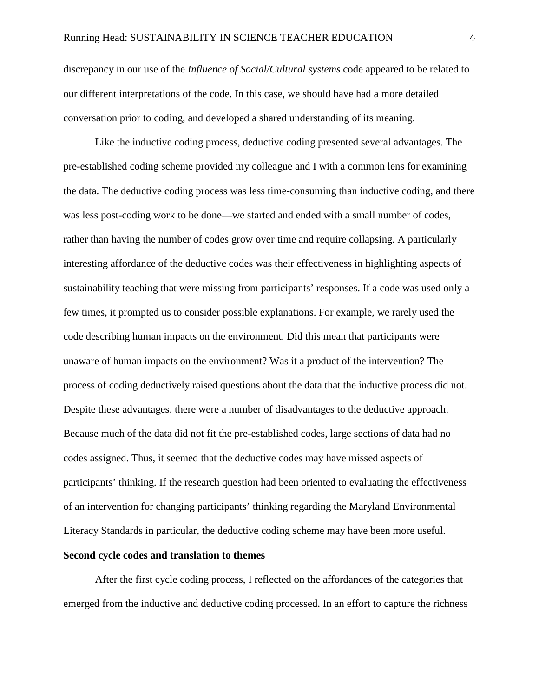discrepancy in our use of the *Influence of Social/Cultural systems* code appeared to be related to our different interpretations of the code. In this case, we should have had a more detailed conversation prior to coding, and developed a shared understanding of its meaning.

Like the inductive coding process, deductive coding presented several advantages. The pre-established coding scheme provided my colleague and I with a common lens for examining the data. The deductive coding process was less time-consuming than inductive coding, and there was less post-coding work to be done—we started and ended with a small number of codes, rather than having the number of codes grow over time and require collapsing. A particularly interesting affordance of the deductive codes was their effectiveness in highlighting aspects of sustainability teaching that were missing from participants' responses. If a code was used only a few times, it prompted us to consider possible explanations. For example, we rarely used the code describing human impacts on the environment. Did this mean that participants were unaware of human impacts on the environment? Was it a product of the intervention? The process of coding deductively raised questions about the data that the inductive process did not. Despite these advantages, there were a number of disadvantages to the deductive approach. Because much of the data did not fit the pre-established codes, large sections of data had no codes assigned. Thus, it seemed that the deductive codes may have missed aspects of participants' thinking. If the research question had been oriented to evaluating the effectiveness of an intervention for changing participants' thinking regarding the Maryland Environmental Literacy Standards in particular, the deductive coding scheme may have been more useful.

#### **Second cycle codes and translation to themes**

After the first cycle coding process, I reflected on the affordances of the categories that emerged from the inductive and deductive coding processed. In an effort to capture the richness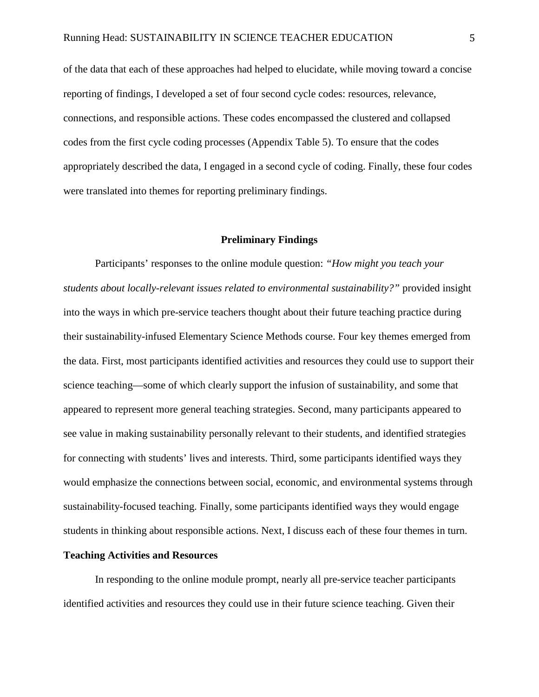of the data that each of these approaches had helped to elucidate, while moving toward a concise reporting of findings, I developed a set of four second cycle codes: resources, relevance, connections, and responsible actions. These codes encompassed the clustered and collapsed codes from the first cycle coding processes (Appendix Table 5). To ensure that the codes appropriately described the data, I engaged in a second cycle of coding. Finally, these four codes were translated into themes for reporting preliminary findings.

#### **Preliminary Findings**

Participants' responses to the online module question: *"How might you teach your students about locally-relevant issues related to environmental sustainability?"* provided insight into the ways in which pre-service teachers thought about their future teaching practice during their sustainability-infused Elementary Science Methods course. Four key themes emerged from the data. First, most participants identified activities and resources they could use to support their science teaching—some of which clearly support the infusion of sustainability, and some that appeared to represent more general teaching strategies. Second, many participants appeared to see value in making sustainability personally relevant to their students, and identified strategies for connecting with students' lives and interests. Third, some participants identified ways they would emphasize the connections between social, economic, and environmental systems through sustainability-focused teaching. Finally, some participants identified ways they would engage students in thinking about responsible actions. Next, I discuss each of these four themes in turn.

#### **Teaching Activities and Resources**

In responding to the online module prompt, nearly all pre-service teacher participants identified activities and resources they could use in their future science teaching. Given their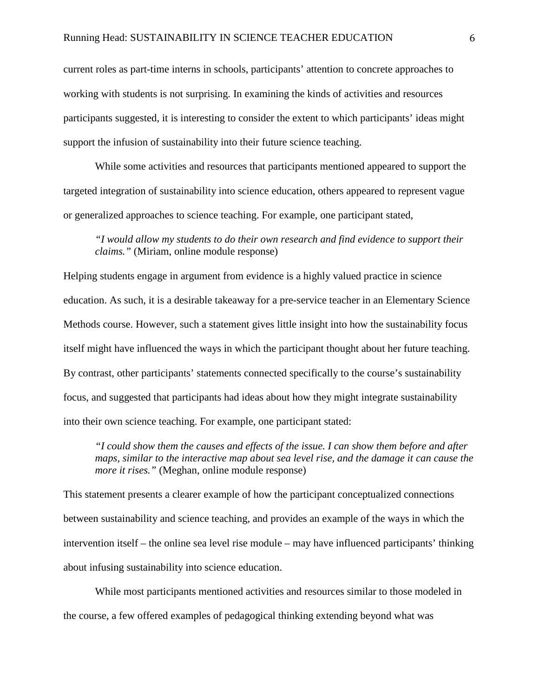current roles as part-time interns in schools, participants' attention to concrete approaches to working with students is not surprising. In examining the kinds of activities and resources participants suggested, it is interesting to consider the extent to which participants' ideas might support the infusion of sustainability into their future science teaching.

While some activities and resources that participants mentioned appeared to support the targeted integration of sustainability into science education, others appeared to represent vague or generalized approaches to science teaching. For example, one participant stated,

*"I would allow my students to do their own research and find evidence to support their claims."* (Miriam, online module response)

Helping students engage in argument from evidence is a highly valued practice in science education. As such, it is a desirable takeaway for a pre-service teacher in an Elementary Science Methods course. However, such a statement gives little insight into how the sustainability focus itself might have influenced the ways in which the participant thought about her future teaching. By contrast, other participants' statements connected specifically to the course's sustainability focus, and suggested that participants had ideas about how they might integrate sustainability into their own science teaching. For example, one participant stated:

*"I could show them the causes and effects of the issue. I can show them before and after maps, similar to the interactive map about sea level rise, and the damage it can cause the more it rises."* (Meghan, online module response)

This statement presents a clearer example of how the participant conceptualized connections between sustainability and science teaching, and provides an example of the ways in which the intervention itself – the online sea level rise module – may have influenced participants' thinking about infusing sustainability into science education.

While most participants mentioned activities and resources similar to those modeled in the course, a few offered examples of pedagogical thinking extending beyond what was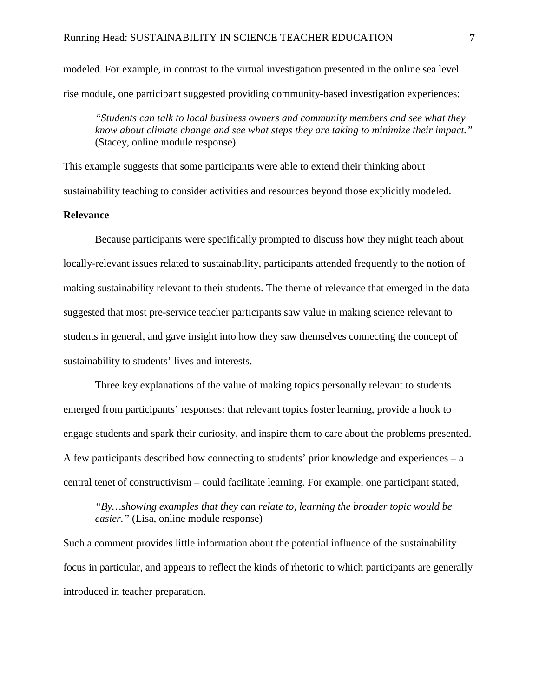modeled. For example, in contrast to the virtual investigation presented in the online sea level rise module, one participant suggested providing community-based investigation experiences:

*"Students can talk to local business owners and community members and see what they know about climate change and see what steps they are taking to minimize their impact."* (Stacey, online module response)

This example suggests that some participants were able to extend their thinking about sustainability teaching to consider activities and resources beyond those explicitly modeled.

## **Relevance**

Because participants were specifically prompted to discuss how they might teach about locally-relevant issues related to sustainability, participants attended frequently to the notion of making sustainability relevant to their students. The theme of relevance that emerged in the data suggested that most pre-service teacher participants saw value in making science relevant to students in general, and gave insight into how they saw themselves connecting the concept of sustainability to students' lives and interests.

Three key explanations of the value of making topics personally relevant to students emerged from participants' responses: that relevant topics foster learning, provide a hook to engage students and spark their curiosity, and inspire them to care about the problems presented. A few participants described how connecting to students' prior knowledge and experiences – a central tenet of constructivism – could facilitate learning. For example, one participant stated,

*"By…showing examples that they can relate to, learning the broader topic would be easier."* (Lisa, online module response)

Such a comment provides little information about the potential influence of the sustainability focus in particular, and appears to reflect the kinds of rhetoric to which participants are generally introduced in teacher preparation.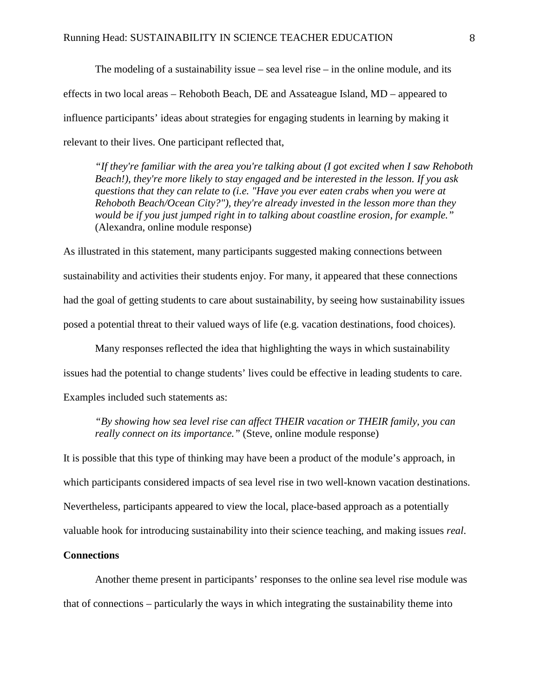The modeling of a sustainability issue – sea level rise – in the online module, and its effects in two local areas – Rehoboth Beach, DE and Assateague Island, MD – appeared to influence participants' ideas about strategies for engaging students in learning by making it relevant to their lives. One participant reflected that,

*"If they're familiar with the area you're talking about (I got excited when I saw Rehoboth Beach!), they're more likely to stay engaged and be interested in the lesson. If you ask questions that they can relate to (i.e. "Have you ever eaten crabs when you were at Rehoboth Beach/Ocean City?"), they're already invested in the lesson more than they would be if you just jumped right in to talking about coastline erosion, for example."*  (Alexandra, online module response)

As illustrated in this statement, many participants suggested making connections between sustainability and activities their students enjoy. For many, it appeared that these connections had the goal of getting students to care about sustainability, by seeing how sustainability issues posed a potential threat to their valued ways of life (e.g. vacation destinations, food choices).

Many responses reflected the idea that highlighting the ways in which sustainability issues had the potential to change students' lives could be effective in leading students to care. Examples included such statements as:

*"By showing how sea level rise can affect THEIR vacation or THEIR family, you can really connect on its importance."* (Steve, online module response)

It is possible that this type of thinking may have been a product of the module's approach, in which participants considered impacts of sea level rise in two well-known vacation destinations. Nevertheless, participants appeared to view the local, place-based approach as a potentially valuable hook for introducing sustainability into their science teaching, and making issues *real*.

## **Connections**

Another theme present in participants' responses to the online sea level rise module was that of connections – particularly the ways in which integrating the sustainability theme into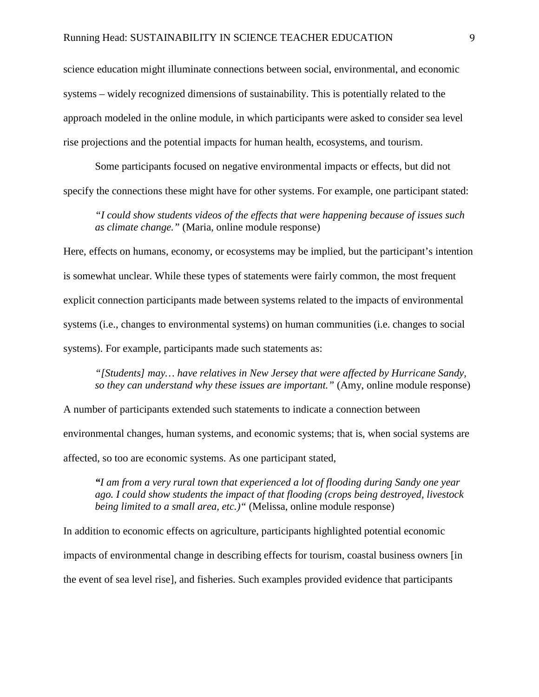science education might illuminate connections between social, environmental, and economic systems – widely recognized dimensions of sustainability. This is potentially related to the approach modeled in the online module, in which participants were asked to consider sea level rise projections and the potential impacts for human health, ecosystems, and tourism.

Some participants focused on negative environmental impacts or effects, but did not specify the connections these might have for other systems. For example, one participant stated:

*"I could show students videos of the effects that were happening because of issues such as climate change."* (Maria, online module response)

Here, effects on humans, economy, or ecosystems may be implied, but the participant's intention is somewhat unclear. While these types of statements were fairly common, the most frequent explicit connection participants made between systems related to the impacts of environmental systems (i.e., changes to environmental systems) on human communities (i.e. changes to social systems). For example, participants made such statements as:

*"[Students] may… have relatives in New Jersey that were affected by Hurricane Sandy, so they can understand why these issues are important."* (Amy, online module response)

A number of participants extended such statements to indicate a connection between environmental changes, human systems, and economic systems; that is, when social systems are affected, so too are economic systems. As one participant stated,

*"I am from a very rural town that experienced a lot of flooding during Sandy one year ago. I could show students the impact of that flooding (crops being destroyed, livestock being limited to a small area, etc.)"* (Melissa, online module response)

In addition to economic effects on agriculture, participants highlighted potential economic impacts of environmental change in describing effects for tourism, coastal business owners [in the event of sea level rise], and fisheries. Such examples provided evidence that participants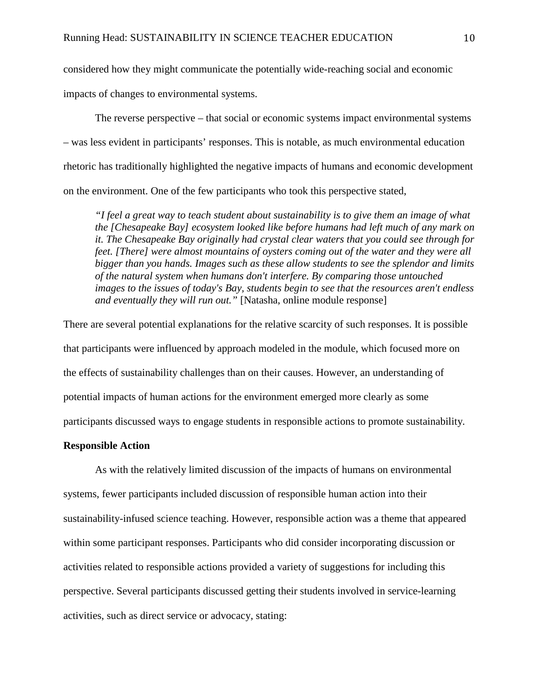considered how they might communicate the potentially wide-reaching social and economic

impacts of changes to environmental systems.

The reverse perspective – that social or economic systems impact environmental systems – was less evident in participants' responses. This is notable, as much environmental education rhetoric has traditionally highlighted the negative impacts of humans and economic development on the environment. One of the few participants who took this perspective stated,

*"I feel a great way to teach student about sustainability is to give them an image of what the [Chesapeake Bay] ecosystem looked like before humans had left much of any mark on it. The Chesapeake Bay originally had crystal clear waters that you could see through for feet. [There] were almost mountains of oysters coming out of the water and they were all bigger than you hands. Images such as these allow students to see the splendor and limits of the natural system when humans don't interfere. By comparing those untouched images to the issues of today's Bay, students begin to see that the resources aren't endless and eventually they will run out."* [Natasha, online module response]

There are several potential explanations for the relative scarcity of such responses. It is possible that participants were influenced by approach modeled in the module, which focused more on the effects of sustainability challenges than on their causes. However, an understanding of potential impacts of human actions for the environment emerged more clearly as some participants discussed ways to engage students in responsible actions to promote sustainability.

## **Responsible Action**

As with the relatively limited discussion of the impacts of humans on environmental systems, fewer participants included discussion of responsible human action into their sustainability-infused science teaching. However, responsible action was a theme that appeared within some participant responses. Participants who did consider incorporating discussion or activities related to responsible actions provided a variety of suggestions for including this perspective. Several participants discussed getting their students involved in service-learning activities, such as direct service or advocacy, stating: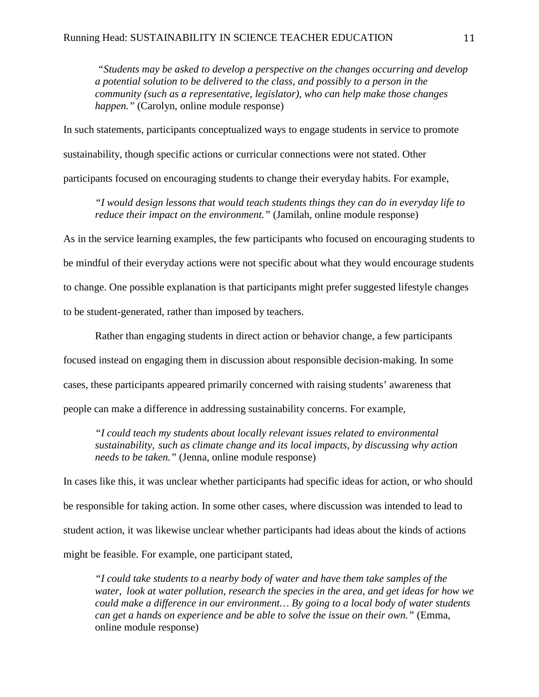*"Students may be asked to develop a perspective on the changes occurring and develop a potential solution to be delivered to the class, and possibly to a person in the community (such as a representative, legislator), who can help make those changes happen."* (Carolyn, online module response)

In such statements, participants conceptualized ways to engage students in service to promote sustainability, though specific actions or curricular connections were not stated. Other participants focused on encouraging students to change their everyday habits. For example,

*"I would design lessons that would teach students things they can do in everyday life to reduce their impact on the environment."* (Jamilah, online module response)

As in the service learning examples, the few participants who focused on encouraging students to

be mindful of their everyday actions were not specific about what they would encourage students

to change. One possible explanation is that participants might prefer suggested lifestyle changes

to be student-generated, rather than imposed by teachers.

Rather than engaging students in direct action or behavior change, a few participants focused instead on engaging them in discussion about responsible decision-making. In some cases, these participants appeared primarily concerned with raising students' awareness that people can make a difference in addressing sustainability concerns. For example,

*"I could teach my students about locally relevant issues related to environmental sustainability, such as climate change and its local impacts, by discussing why action needs to be taken."* (Jenna, online module response)

In cases like this, it was unclear whether participants had specific ideas for action, or who should be responsible for taking action. In some other cases, where discussion was intended to lead to student action, it was likewise unclear whether participants had ideas about the kinds of actions might be feasible. For example, one participant stated,

*"I could take students to a nearby body of water and have them take samples of the water, look at water pollution, research the species in the area, and get ideas for how we could make a difference in our environment… By going to a local body of water students can get a hands on experience and be able to solve the issue on their own."* (Emma, online module response)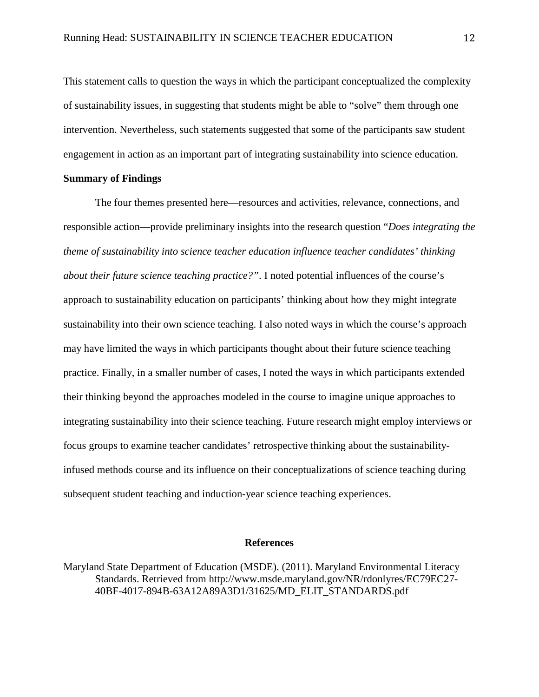This statement calls to question the ways in which the participant conceptualized the complexity of sustainability issues, in suggesting that students might be able to "solve" them through one intervention. Nevertheless, such statements suggested that some of the participants saw student engagement in action as an important part of integrating sustainability into science education.

#### **Summary of Findings**

The four themes presented here—resources and activities, relevance, connections, and responsible action—provide preliminary insights into the research question "*Does integrating the theme of sustainability into science teacher education influence teacher candidates' thinking about their future science teaching practice?"*. I noted potential influences of the course's approach to sustainability education on participants' thinking about how they might integrate sustainability into their own science teaching. I also noted ways in which the course's approach may have limited the ways in which participants thought about their future science teaching practice. Finally, in a smaller number of cases, I noted the ways in which participants extended their thinking beyond the approaches modeled in the course to imagine unique approaches to integrating sustainability into their science teaching. Future research might employ interviews or focus groups to examine teacher candidates' retrospective thinking about the sustainabilityinfused methods course and its influence on their conceptualizations of science teaching during subsequent student teaching and induction-year science teaching experiences.

## **References**

Maryland State Department of Education (MSDE). (2011). Maryland Environmental Literacy Standards. Retrieved from http://www.msde.maryland.gov/NR/rdonlyres/EC79EC27- 40BF-4017-894B-63A12A89A3D1/31625/MD\_ELIT\_STANDARDS.pdf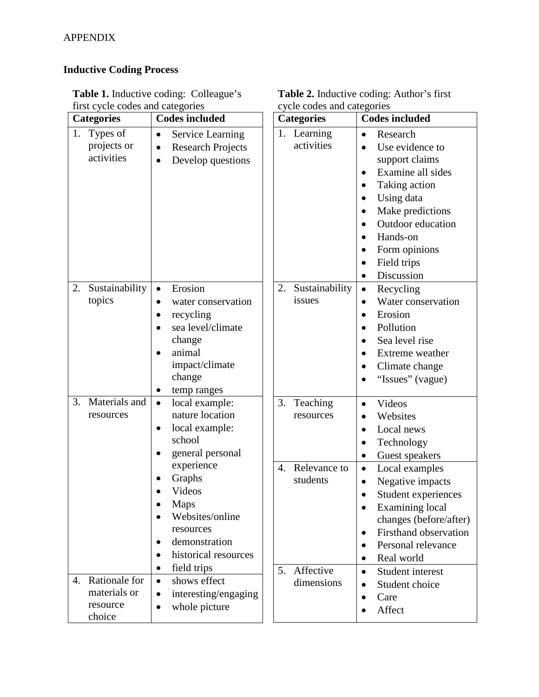# **Inductive Coding Process**

| <b>Categories</b> |                                                     | <b>Codes included</b>                                                                                                                                                                                                                                                                    |  | <b>Categories</b>                                                                              | <b>Codes included</b>                                                                                                                                                                                                                                                                                                                                                                                                                |
|-------------------|-----------------------------------------------------|------------------------------------------------------------------------------------------------------------------------------------------------------------------------------------------------------------------------------------------------------------------------------------------|--|------------------------------------------------------------------------------------------------|--------------------------------------------------------------------------------------------------------------------------------------------------------------------------------------------------------------------------------------------------------------------------------------------------------------------------------------------------------------------------------------------------------------------------------------|
| 1.                | Types of<br>projects or<br>activities               | Service Learning<br>$\bullet$<br><b>Research Projects</b><br>$\bullet$<br>Develop questions<br>$\bullet$                                                                                                                                                                                 |  | 1. Learning<br>activities                                                                      | Research<br>$\bullet$<br>Use evidence to<br>$\bullet$<br>support claims<br>Examine all sides<br>$\bullet$<br>Taking action<br>$\bullet$<br>Using data<br>$\bullet$<br>Make predictions<br>$\bullet$<br>Outdoor education<br>$\bullet$<br>Hands-on<br>$\bullet$<br>Form opinions<br>$\bullet$<br>Field trips<br>$\bullet$<br>Discussion<br>$\bullet$                                                                                  |
| 2.                | Sustainability<br>topics                            | Erosion<br>$\bullet$<br>water conservation<br>٠<br>recycling<br>sea level/climate<br>change<br>animal<br>impact/climate<br>change<br>temp ranges<br>$\bullet$                                                                                                                            |  | Sustainability<br>2.<br>issues                                                                 | Recycling<br>$\bullet$<br>Water conservation<br>$\bullet$<br>Erosion<br>$\bullet$<br>Pollution<br>$\bullet$<br>Sea level rise<br>Extreme weather<br>$\bullet$<br>Climate change<br>$\bullet$<br>"Issues" (vague)<br>$\bullet$                                                                                                                                                                                                        |
| 3.                | Materials and<br>resources                          | local example:<br>$\bullet$<br>nature location<br>local example:<br>$\bullet$<br>school<br>general personal<br>٠<br>experience<br>Graphs<br>Videos<br><b>Maps</b><br>Websites/online<br>resources<br>demonstration<br>٠<br>historical resources<br>$\bullet$<br>field trips<br>$\bullet$ |  | 3.<br>Teaching<br>resources<br>Relevance to<br>$\overline{4}$ .<br>students<br>Affective<br>5. | Videos<br>$\bullet$<br>Websites<br>$\bullet$<br>Local news<br>$\bullet$<br>Technology<br>$\bullet$<br>Guest speakers<br>$\bullet$<br>Local examples<br>$\bullet$<br>Negative impacts<br>$\bullet$<br>Student experiences<br>$\bullet$<br>Examining local<br>$\bullet$<br>changes (before/after)<br>Firsthand observation<br>$\bullet$<br>Personal relevance<br>$\bullet$<br>Real world<br>$\bullet$<br>Student interest<br>$\bullet$ |
| 4.                | Rationale for<br>materials or<br>resource<br>choice | shows effect<br>$\bullet$<br>interesting/engaging<br>$\bullet$<br>whole picture<br>$\bullet$                                                                                                                                                                                             |  | dimensions                                                                                     | Student choice<br>$\bullet$<br>Care<br>$\bullet$<br>Affect<br>$\bullet$                                                                                                                                                                                                                                                                                                                                                              |

| <b>Table 1.</b> Inductive coding: Colleague's |  |
|-----------------------------------------------|--|
| first cycle codes and categories              |  |

| <b>Table 2.</b> Inductive coding: Author's first |
|--------------------------------------------------|
| cycle codes and categories                       |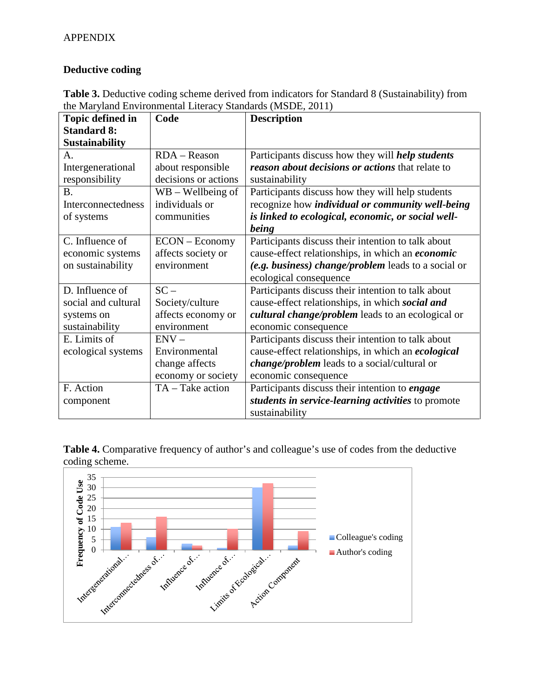## **Deductive coding**

| <b>Table 3.</b> Deductive coding scheme derived from indicators for Standard 8 (Sustainability) from |
|------------------------------------------------------------------------------------------------------|
| the Maryland Environmental Literacy Standards (MSDE, 2011)                                           |

| <b>Topic defined in</b> | Code                 | <b>Description</b>                                      |  |
|-------------------------|----------------------|---------------------------------------------------------|--|
| <b>Standard 8:</b>      |                      |                                                         |  |
| <b>Sustainability</b>   |                      |                                                         |  |
| A.                      | RDA - Reason         | Participants discuss how they will <i>help students</i> |  |
| Intergenerational       | about responsible    | reason about decisions or actions that relate to        |  |
| responsibility          | decisions or actions | sustainability                                          |  |
| B.                      | $WB - Wellbeing$ of  | Participants discuss how they will help students        |  |
| Interconnectedness      | individuals or       | recognize how <i>individual or community well-being</i> |  |
| of systems              | communities          | is linked to ecological, economic, or social well-      |  |
|                         |                      | being                                                   |  |
| C. Influence of         | ECON – Economy       | Participants discuss their intention to talk about      |  |
| economic systems        | affects society or   | cause-effect relationships, in which an economic        |  |
| on sustainability       | environment          | (e.g. business) change/problem leads to a social or     |  |
|                         |                      | ecological consequence                                  |  |
| D. Influence of         | $SC -$               | Participants discuss their intention to talk about      |  |
| social and cultural     | Society/culture      | cause-effect relationships, in which social and         |  |
| systems on              | affects economy or   | cultural change/problem leads to an ecological or       |  |
| sustainability          | environment          | economic consequence                                    |  |
| E. Limits of            | $ENV -$              | Participants discuss their intention to talk about      |  |
| ecological systems      | Environmental        | cause-effect relationships, in which an ecological      |  |
|                         | change affects       | <i>change/problem</i> leads to a social/cultural or     |  |
|                         | economy or society   | economic consequence                                    |  |
| F. Action               | TA - Take action     | Participants discuss their intention to engage          |  |
| component               |                      | students in service-learning activities to promote      |  |
|                         |                      | sustainability                                          |  |

**Table 4.** Comparative frequency of author's and colleague's use of codes from the deductive coding scheme.